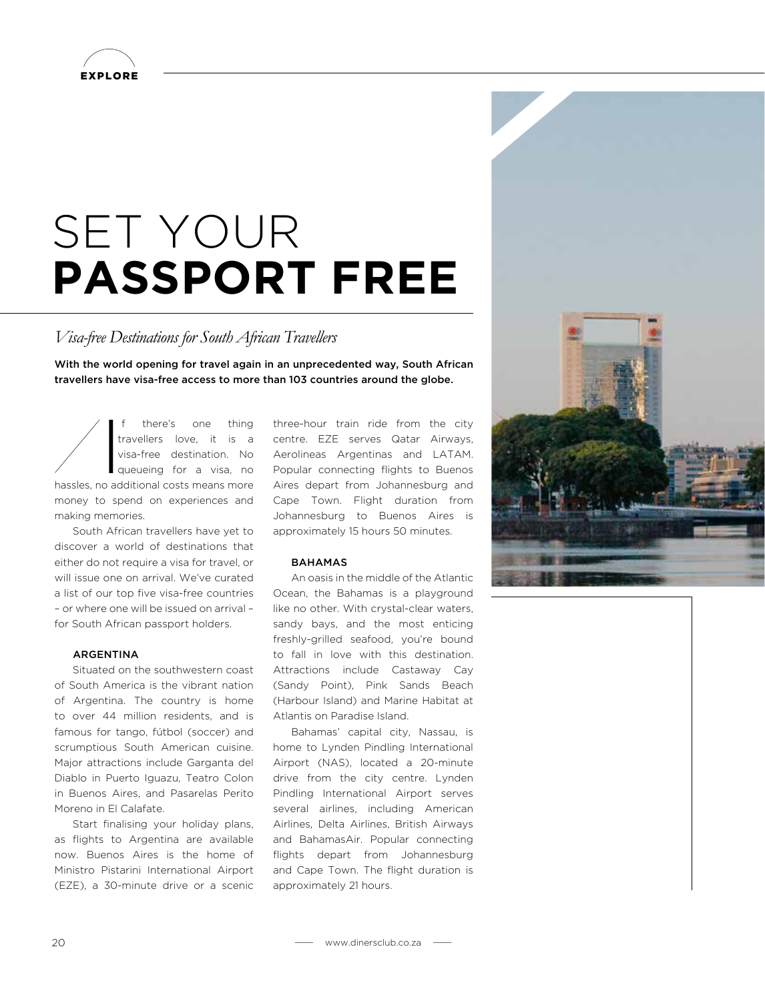

# SET YOUR **PASSPORT FREE**

# *Visa-free Destinations for South African Travellers*

With the world opening for travel again in an unprecedented way, South African travellers have visa-free access to more than 103 countries around the globe.

I f there's one thing travellers love, it is a visa-free destination. No queueing for a visa, no hassles, no additional costs means more money to spend on experiences and making memories.

South African travellers have yet to discover a world of destinations that either do not require a visa for travel, or will issue one on arrival. We've curated a list of our top five visa-free countries – or where one will be issued on arrival – for South African passport holders.

# ARGENTINA

Situated on the southwestern coast of South America is the vibrant nation of Argentina. The country is home to over 44 million residents, and is famous for tango, fútbol (soccer) and scrumptious South American cuisine. Major attractions include Garganta del Diablo in Puerto Iguazu, Teatro Colon in Buenos Aires, and Pasarelas Perito Moreno in El Calafate.

Start finalising your holiday plans, as flights to Argentina are available now. Buenos Aires is the home of Ministro Pistarini International Airport (EZE), a 30-minute drive or a scenic

three-hour train ride from the city centre. EZE serves Qatar Airways, Aerolineas Argentinas and LATAM. Popular connecting flights to Buenos Aires depart from Johannesburg and Cape Town. Flight duration from Johannesburg to Buenos Aires is approximately 15 hours 50 minutes.

#### **BAHAMAS**

An oasis in the middle of the Atlantic Ocean, the Bahamas is a playground like no other. With crystal-clear waters, sandy bays, and the most enticing freshly-grilled seafood, you're bound to fall in love with this destination. Attractions include Castaway Cay (Sandy Point), Pink Sands Beach (Harbour Island) and Marine Habitat at Atlantis on Paradise Island.

Bahamas' capital city, Nassau, is home to Lynden Pindling International Airport (NAS), located a 20-minute drive from the city centre. Lynden Pindling International Airport serves several airlines, including American Airlines, Delta Airlines, British Airways and BahamasAir. Popular connecting flights depart from Johannesburg and Cape Town. The flight duration is approximately 21 hours.

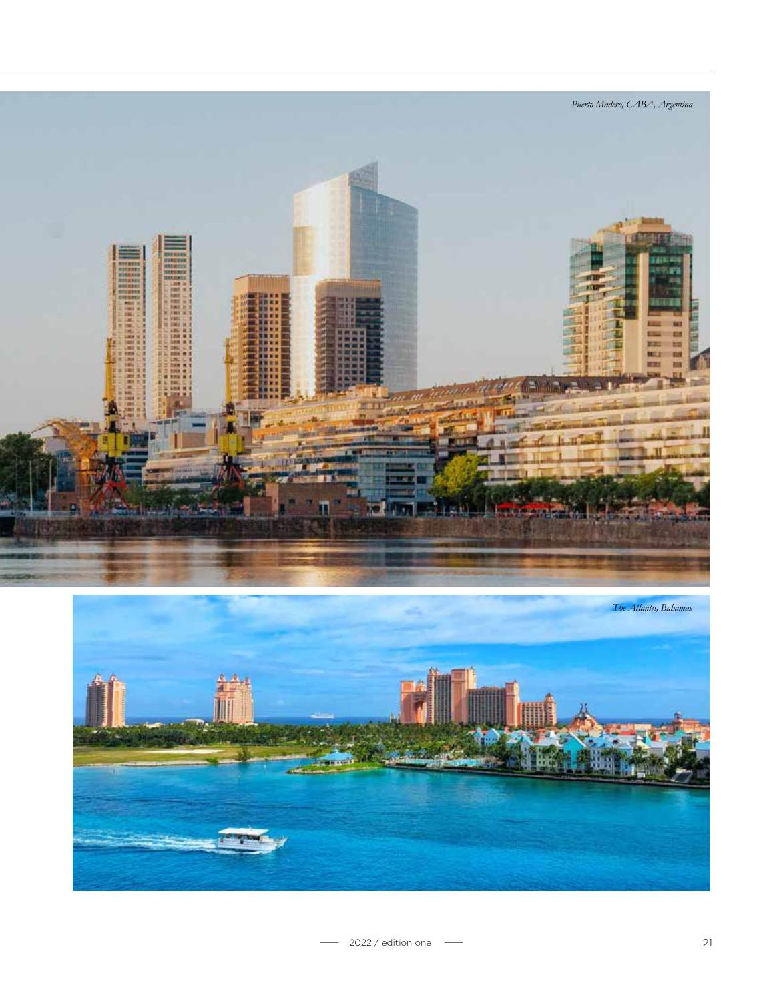



- 2022 / edition one - 21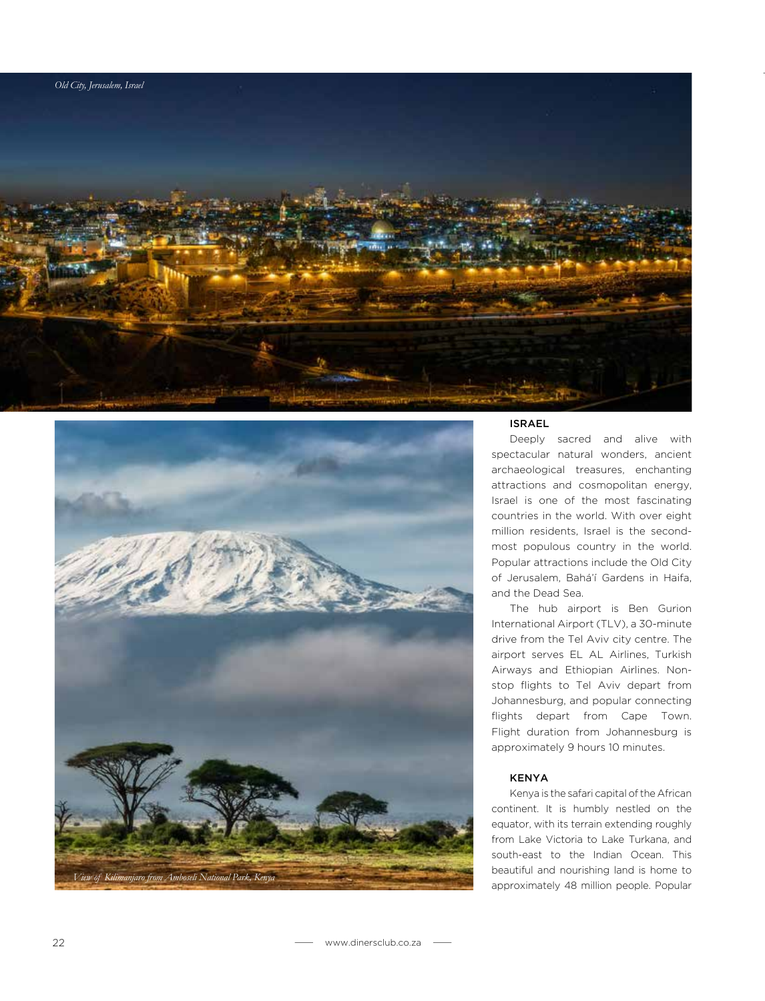



#### ISRAEL

Deeply sacred and alive with spectacular natural wonders, ancient archaeological treasures, enchanting attractions and cosmopolitan energy, Israel is one of the most fascinating countries in the world. With over eight million residents, Israel is the secondmost populous country in the world. Popular attractions include the Old City of Jerusalem, Bahá'í Gardens in Haifa, and the Dead Sea.

The hub airport is Ben Gurion International Airport (TLV), a 30-minute drive from the Tel Aviv city centre. The airport serves EL AL Airlines, Turkish Airways and Ethiopian Airlines. Nonstop flights to Tel Aviv depart from Johannesburg, and popular connecting flights depart from Cape Town. Flight duration from Johannesburg is approximately 9 hours 10 minutes.

## KENYA

Kenya is the safari capital of the African continent. It is humbly nestled on the equator, with its terrain extending roughly from Lake Victoria to Lake Turkana, and south-east to the Indian Ocean. This beautiful and nourishing land is home to approximately 48 million people. Popular